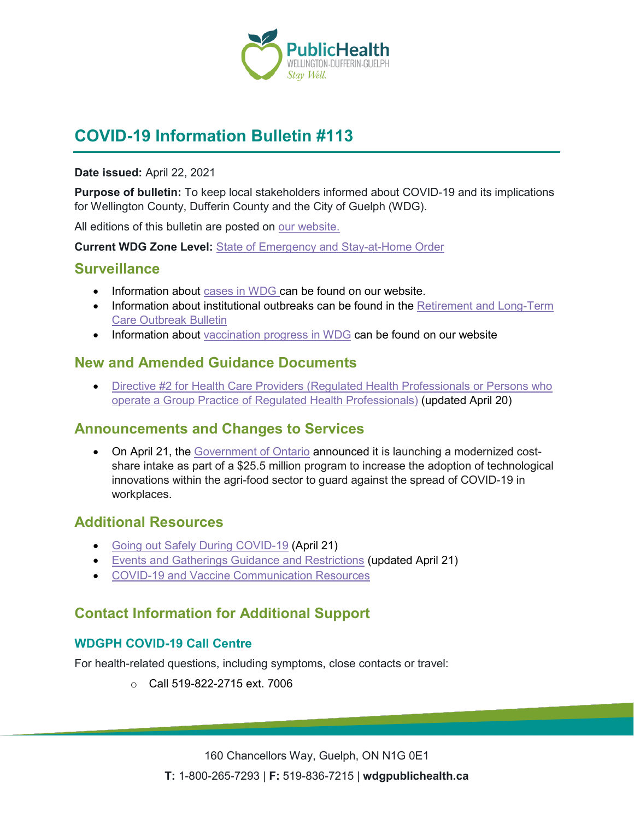

# **COVID-19 Information Bulletin #113**

#### **Date issued:** April 22, 2021

**Purpose of bulletin:** To keep local stakeholders informed about COVID-19 and its implications for Wellington County, Dufferin County and the City of Guelph (WDG).

All editions of this bulletin are posted on [our website.](https://www.wdgpublichealth.ca/your-health/covid-19-information-workplaces-and-living-spaces/community-stakeholder-bulletins)

**Current WDG Zone Level:** [State of Emergency and Stay-at-Home Order](https://www.ontario.ca/page/covid-19-provincewide-shutdown)

### **Surveillance**

- Information about [cases in WDG](https://wdgpublichealth.ca/your-health/covid-19-information-public/status-cases-wdg) can be found on our website.
- Information about institutional outbreaks can be found in the Retirement and Long-Term [Care Outbreak Bulletin](https://wdgpublichealth.ca/node/1542)
- Information about [vaccination progress](https://www.wdgpublichealth.ca/your-health/covid-19-information-public/covid-19-vaccine-information-public) in WDG can be found on our website

## **New and Amended Guidance Documents**

• Directive #2 for Health Care Providers (Regulated Health Professionals or Persons who [operate a Group Practice of Regulated Health Professionals\)](https://www.health.gov.on.ca/en/pro/programs/publichealth/coronavirus/docs/directives/RHPA_professionals.pdf) (updated April 20)

## **Announcements and Changes to Services**

• On April 21, the [Government of Ontario](https://news.ontario.ca/en/release/61224/ontario-investing-255-million-in-technology-to-protect-agri-food-workers) announced it is launching a modernized costshare intake as part of a \$25.5 million program to increase the adoption of technological innovations within the agri-food sector to guard against the spread of COVID-19 in workplaces.

## **Additional Resources**

- [Going out Safely During COVID-19](https://www.canada.ca/en/public-health/services/publications/diseases-conditions/covid-19-going-out-safely.html) (April 21)
- [Events and Gatherings Guidance and Restrictions](https://www.wdgpublichealth.ca/your-health/covid-19-information-public/current-public-health-measures-and-restrictions/events-and) (updated April 21)
- [COVID-19 and Vaccine Communication Resources](https://www.ontario.ca/page/covid-19-communication-resources#staying-safe)

# **Contact Information for Additional Support**

#### **WDGPH COVID-19 Call Centre**

For health-related questions, including symptoms, close contacts or travel:

o Call 519-822-2715 ext. 7006